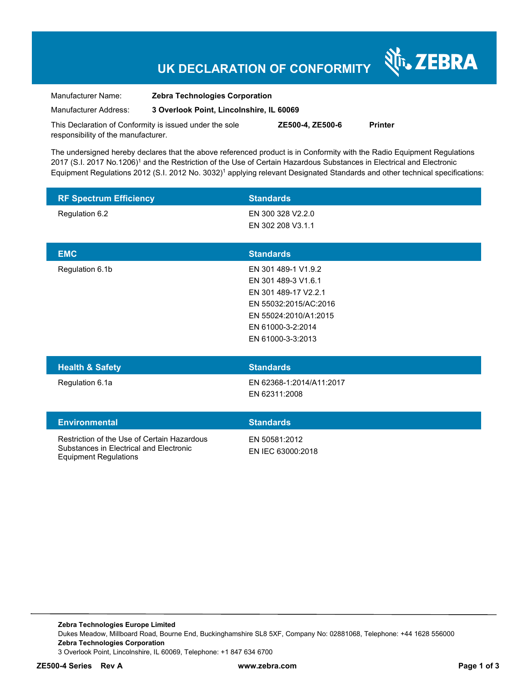# **UK DECLARATION OF CONFORMITY**

Nr. ZEBRA

| Manufacturer Name:                                      | <b>Zebra Technologies Corporation</b>    |                  |                |
|---------------------------------------------------------|------------------------------------------|------------------|----------------|
| Manufacturer Address:                                   | 3 Overlook Point, Lincolnshire, IL 60069 |                  |                |
| This Declaration of Conformity is issued under the sole |                                          | ZE500-4. ZE500-6 | <b>Printer</b> |

responsibility of the manufacturer. The undersigned hereby declares that the above referenced product is in Conformity with the Radio Equipment Regulations

2017 (S.I. 2017 No.1206)<sup>1</sup> and the Restriction of the Use of Certain Hazardous Substances in Electrical and Electronic Equipment Regulations 2012 (S.I. 2012 No. 3032)<sup>1</sup> applying relevant Designated Standards and other technical specifications:

| <b>RF Spectrum Efficiency</b>               | <b>Standards</b>         |
|---------------------------------------------|--------------------------|
| Regulation 6.2                              | EN 300 328 V2.2.0        |
|                                             | EN 302 208 V3.1.1        |
|                                             |                          |
| <b>EMC</b>                                  | <b>Standards</b>         |
| Regulation 6.1b                             | EN 301 489-1 V1.9.2      |
|                                             | EN 301 489-3 V1.6.1      |
|                                             | EN 301 489-17 V2.2.1     |
|                                             | EN 55032:2015/AC:2016    |
|                                             | EN 55024:2010/A1:2015    |
|                                             | EN 61000-3-2:2014        |
|                                             | EN 61000-3-3:2013        |
|                                             |                          |
| <b>Health &amp; Safety</b>                  | <b>Standards</b>         |
| Regulation 6.1a                             | EN 62368-1:2014/A11:2017 |
|                                             | EN 62311:2008            |
|                                             |                          |
| <b>Environmental</b>                        | <b>Standards</b>         |
| Restriction of the Use of Certain Hazardous | EN 50581:2012            |
| Substances in Electrical and Electronic     | EN IEC 63000:2018        |
| <b>Equipment Regulations</b>                |                          |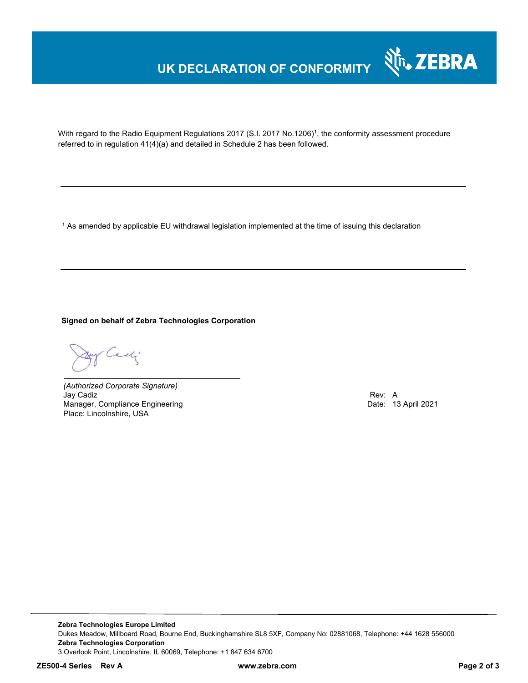### **UK DECLARATION OF CONFORMITY**



With regard to the Radio Equipment Regulations 2017 (S.I. 2017 No.1206)<sup>1</sup>, the conformity assessment procedure referred to in regulation 41(4)(a) and detailed in Schedule 2 has been followed.

 $^{\rm 1}$  As amended by applicable EU withdrawal legislation implemented at the time of issuing this declaration

**Signed on behalf of Zebra Technologies Corporation** 

Cady.

*(Authorized Corporate Signature)* Jay Cadiz Rev: A Manager, Compliance Engineering **Date: 13 April 2021 Date: 13 April 2021** Place: Lincolnshire, USA